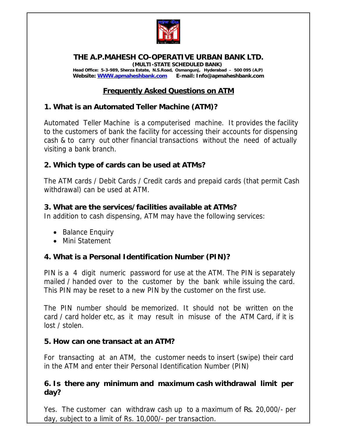

#### **THE A.P.MAHESH CO-OPERATIVE URBAN BANK LTD. (MULTI-STATE SCHEDULED BANK) Head Office: 5-3-989, Sherza Estate, N.S.Road, Osmangunj, Hyderabad – 500 095 (A.P) Website: WWW.apmaheshbank.com E-mail: Info@apmaheshbank.com**

## **Frequently Asked Questions on ATM**

### **1. What is an Automated Teller Machine (ATM)?**

Automated Teller Machine is a computerised machine. It provides the facility to the customers of bank the facility for accessing their accounts for dispensing cash & to carry out other financial transactions without the need of actually visiting a bank branch.

#### **2. Which type of cards can be used at ATMs?**

The ATM cards / Debit Cards / Credit cards and prepaid cards (that permit Cash withdrawal) can be used at ATM.

#### **3. What are the services/facilities available at ATMs?**

In addition to cash dispensing, ATM may have the following services:

- Balance Enquiry
- Mini Statement

### **4. What is a Personal Identification Number (PIN)?**

PIN is a 4 digit numeric password for use at the ATM. The PIN is separately mailed / handed over to the customer by the bank while issuing the card. This PIN may be reset to a new PIN by the customer on the first use.

The PIN number should be memorized. It should not be written on the card / card holder etc, as it may result in misuse of the ATM Card, if it is lost / stolen.

#### **5. How can one transact at an ATM?**

For transacting at an ATM, the customer needs to insert (swipe) their card in the ATM and enter their Personal Identification Number (PIN)

#### **6. Is there any minimum and maximum cash withdrawal limit per day?**

Yes. The customer can withdraw cash up to a maximum of Rs. 20,000/- per day, subject to a limit of Rs. 10,000/- per transaction.